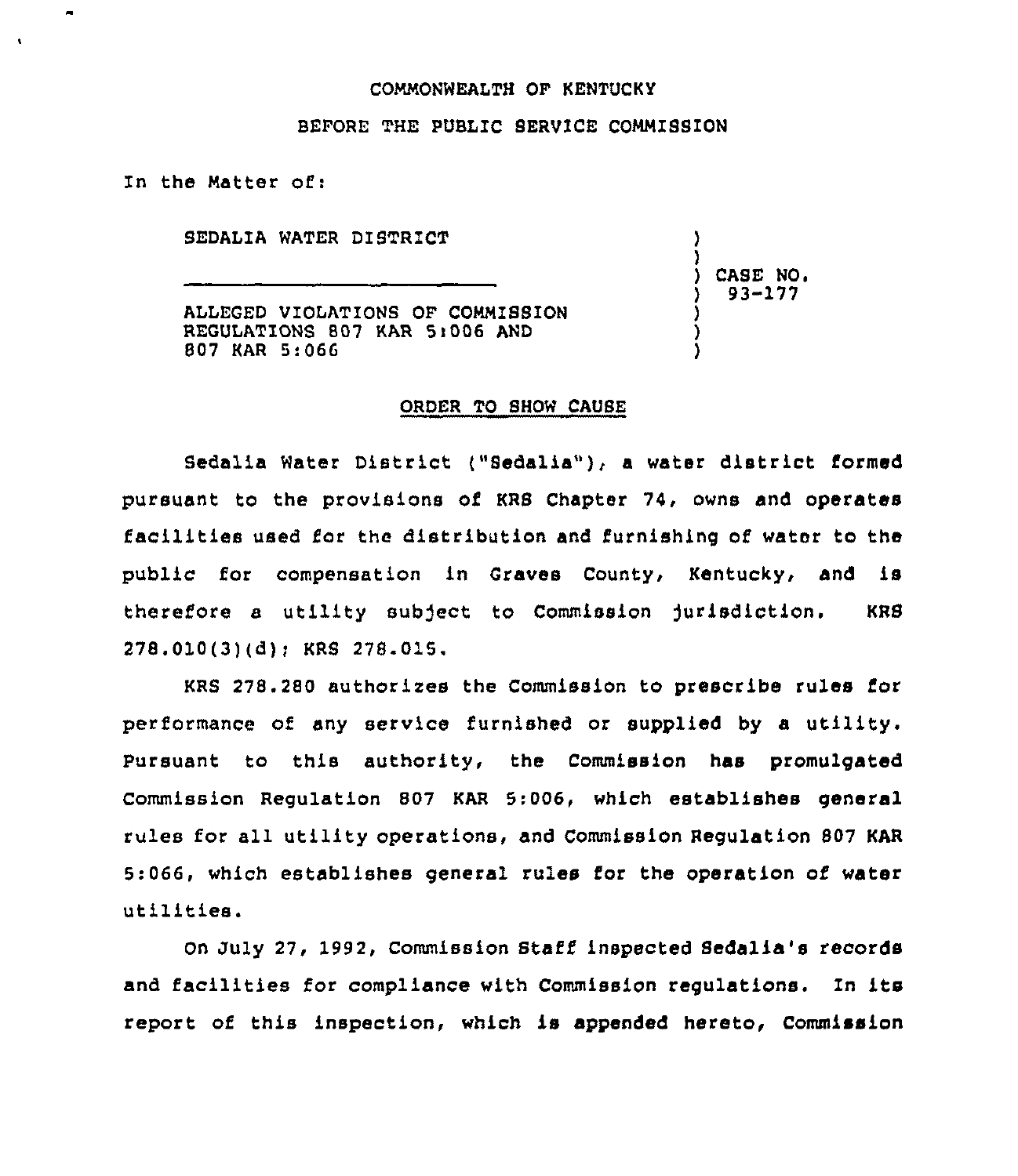#### COMMONWEALTH OF KENTUCKY

### BEFORE THE PUBLIC SERVICE COMMISSION

In the Matter of:

 $\bullet$ 

SEDALIA WATER DISTRZCT

) ) ) CASE NO <sup>~</sup> ) 93-177 ) )

)

ALLEGED VIOLATIONS OF COMMISSION REGULATIONS 807 KAR 5)006 AND 807 KAR 5:066

#### ORDER TO SHOW CAUSE

Bedelia Water District {"Bedelia"), <sup>a</sup> water district formed pursuant to the provisions of KRS Chapter 74, owns and operates facilities used for the distribution and furnishing of water to the public for compensation in Graves County, Kentucky, and is therefore a utility subject to Commission jurisdiction. KRS  $278.010(3)(d)$ ; KRS  $278.015$ .

KRS 278.280 authorizes the Commission to prescribe rules for performance of any service furnished or supplied by a utility. Pursuant to this authority, the Commission has promulgated Commission Regulation 807 KAR 5:006, which establishes general rules for all utility operations, and Commission Regulation 807 KAR 5:066, which establishes general rules for the operation of water utilities.

On July 27, 1992, Commission Staff inspected Sedalia's records and facilities for compliance with Commission regulations. In its report of this inspection, which is appended hereto, Commission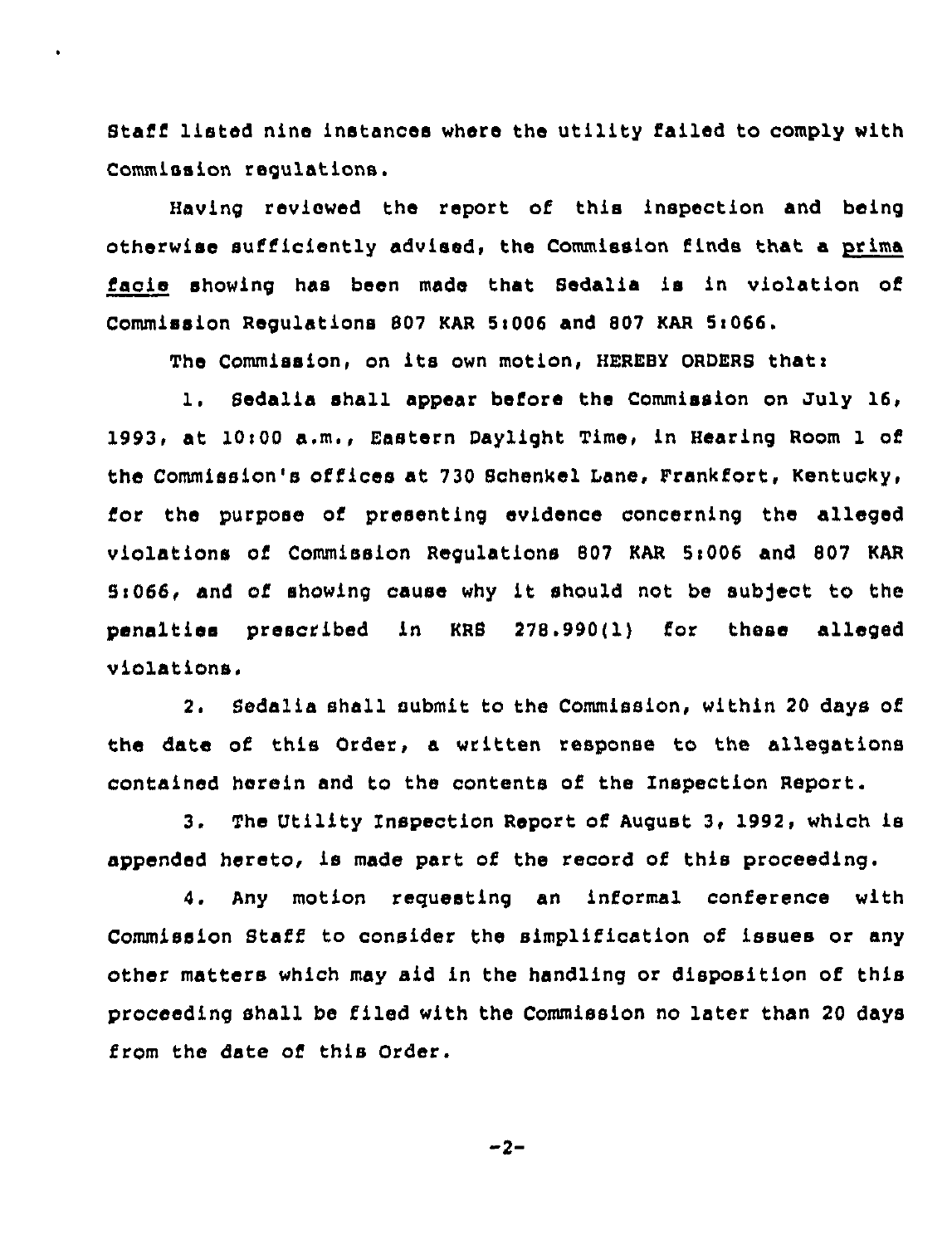Staff listed nine instances where the utility failed to comply with Commission regulations.

 $\ddot{\phantom{0}}$ 

Having reviewed the report of this inspection and being otherwise sufficiently advised, the Commission finds that a prima facie showing has been made that Sedalia is in violation of Commission Regulations 807 KAR 5:006 and 807 KAR 5:066.

The Commission, on its own motion, HEREBY ORDERS that:

1. Sedalia shall appear before the Commission on July 16, 1993, at 10:00 a.m., Eastern Daylight Time, in Hearing Room 1 of the Commission's offices at 730 Schenkel Lane, Frankfort, Kentucky, for the purpose of presenting evidence concerning the alleged violations of Commission Regulations 807 KAR 5:006 and 807 KAR 5:066, and of showing cause why it should not be subject to the penalties prescribed in KRS 278.990(1) for these alleged violations,

2. Sedalia shall submit to the Commission, within 20 days of the date of this Order, a written response to the allegations contained herein and to the contents of the Inspection Report.

3. The Utility Inspection Report of August 3, 1992, which is appended hereto, is made part of the record of this proceeding.

4. Any motion requesting an informal conference with Commission Staff to consider the simplification of issues or any other matters which may aid in the handling or disposition of this proceeding shall be filed with the Commission no later than 20 days from the date of this Order.

 $-2-$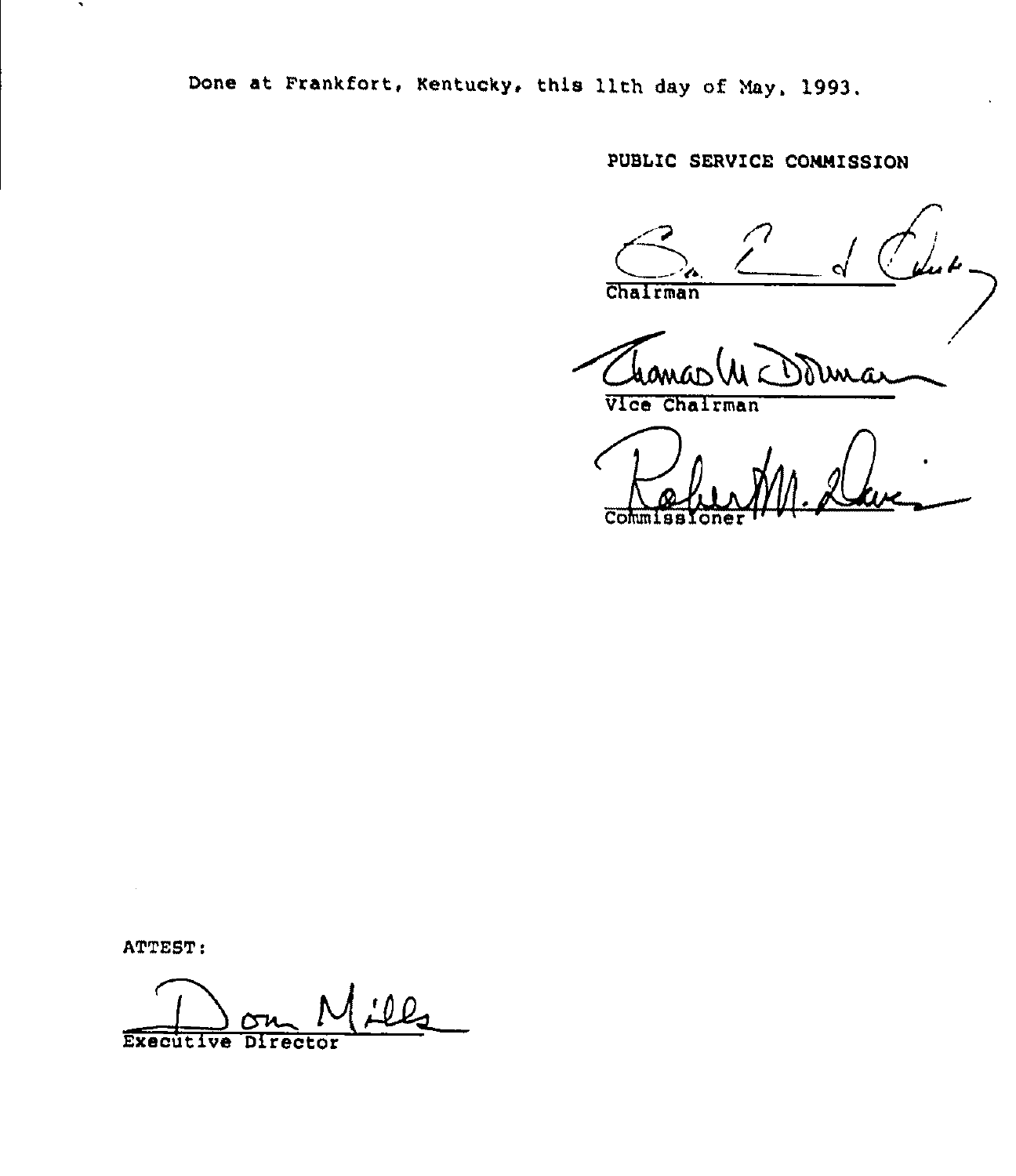Done at Prankfort, Kentucky, this 11th day of May, 1993,

PUBLIC SERVICE COMMISSION

n  $\sum_{n}$ Chairman

ma

Vice Chairman

Commissione '

ATTEST:

 $\ddot{\phantom{1}}$ 

O D.  $\overline{\phantom{a}}$ Executive Director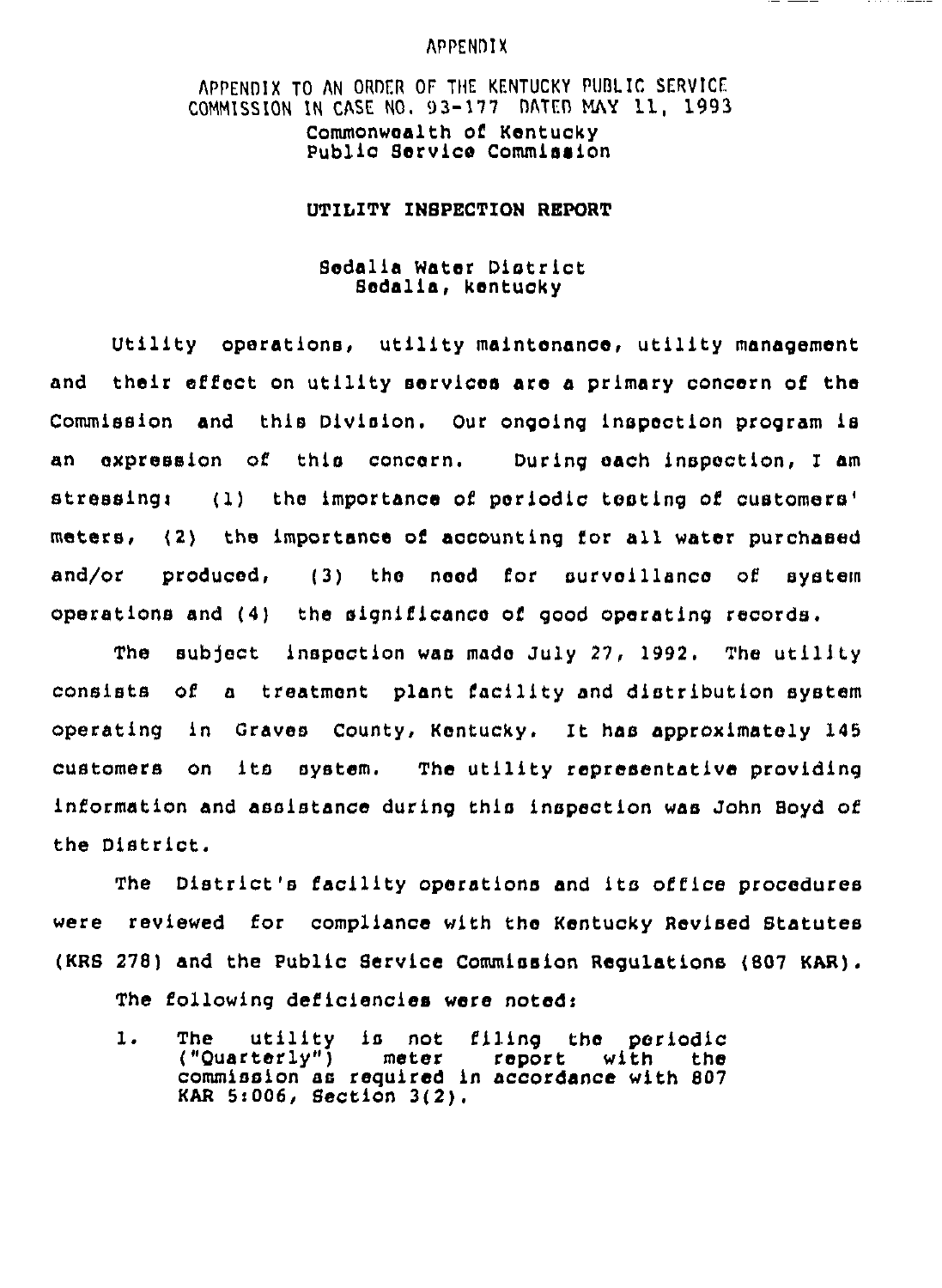# APPENDIX

APPENDIX TO AN ORDER OF THE KENTUCKY PUBLIC SERVICE.  $COMMISSTON$  IN CASE NO.  $93-177$  DATED MAY 11, 1993 Commonwoalth of Kentucky Public Service Commission

# UTILITY INSPECTION REPORT

# Sodalia Water District Sodalis, kontucky

Utility operations, utility malntonanco, utility management and their effect on utility services are a primary concern of the Commission and this Dlvislon. Our ongoing inspection program is an expression of this concern. During oach inspection, I am stressing: (1) the importance of periodic testing of customers' meters. (2) the importance of accounting for all water purchased and/or produced, (3) the naod for survoillanco of system operations and (4) the significance of good operating records.

The subject inspection was made July 27, 1992. The utility consists of a treatment plant facility and distribution system operating ln Craves County, Kontucky. It has approximately 145 customers on its system. The utility ropresentative providing information and assistance during this inspection was John Boyd of the District.

The District's facility oporations and its office procedures were reviewed for compliance with the Kentucky Revised Statutes (KRS 278) and the Public Service Commission Regulations (B07 KAR). The following deficiencies were noted:

The utility is not filing tho periodic ("Quarterly") meter report with the  $\mathbf{1}$ . commission as required ln accordance with 807 KAR 5i006, Section 3(2).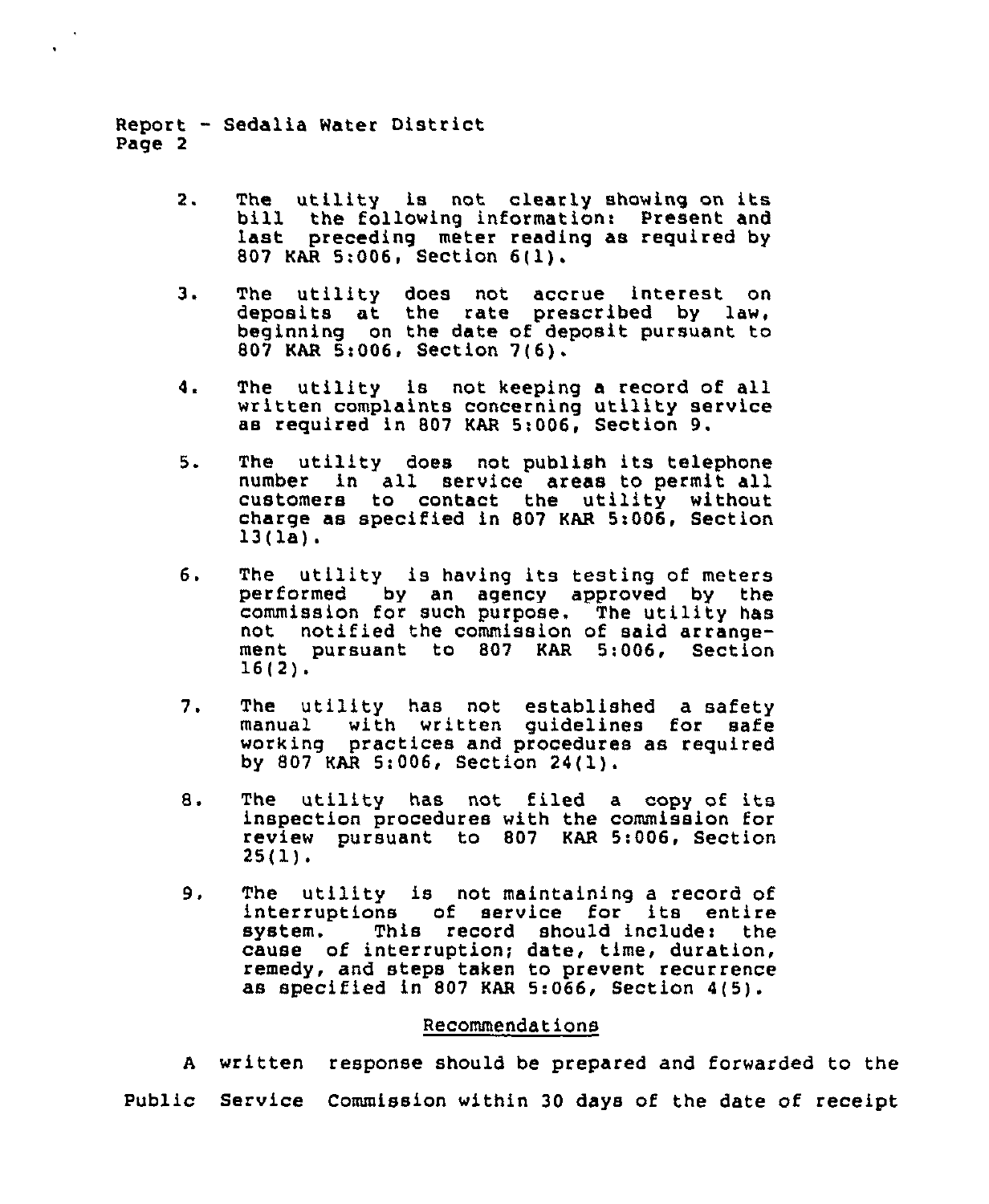Report — Sedalia Water District Page 2

- The utility is not clearly showing on its bill the following information: Present and  $2.$ last preceding meter reading as required by <sup>807</sup> KAR 5:006, Section 6(1).
- з. The utility does not accrue interest on deposits at the rate prescribed by law, beginning on the date of deposit pursuant to 807 KAR 5t006, Section 7(6).
- 4. The utility is not keeping a record of all written complaints concerning utility service as required in 807 KAR 5:006, Section 9.
- 5. The utility does not publish its telephone number in all service areas to permit all customers to contact the utility without charge as specified in <sup>807</sup> KAR 5:006, Section 13(la).
- б. The utility is having its testing of meters performed by an agency approved by the commission for such purpose. The utility has not notified the commission of said arrangement pursuant to <sup>807</sup> KAR 5:006, Section 16(2).
- $7.$ The utility has not established a safety<br>manual with written quidelines for safe with written guidelines for safe working practices and procedures as required by 807 KAR 5:006, Section 24(1).
- The utility has not filed a copy of its 8. inspection procedures with the commission for review pursuant to <sup>807</sup> KAR 5:006, Section 25(1).
- 9. The utility is not maintaining a record of interruptions of service for its entire This record should include: the cause of interruption; date, time, duration, remedy, and steps taken to prevent recurrence as specified in 807 KAR 5:066, Section 4(5).

## Recommendations

<sup>A</sup> written response should be prepared and forwarded to the Public Service Commission within 30 days of the date of receipt